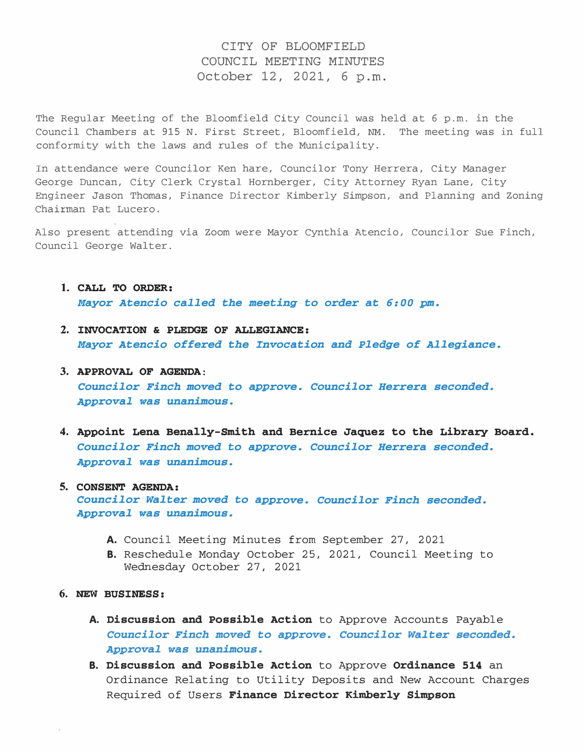## CITY OF BLOOMFIELD COUNCIL MEETING MINUTES October 12, 2021, 6 p.m.

The Regular Meeting of the Bloomfield City Council was held at 6 p.m. in the Council Chambers at 915 N. First Street, Bloomfield, NM. The meeting was in full conformity with the laws and rules of the Municipality.

In attendance were Councilor Ken hare, Councilor Tony Herrera, City Manager George Duncan, City Clerk Crystal Hornberger, City Attorney Ryan Lane, City Engineer Jason Thomas, Finance Director Kimberly Simpson, and Planning and Zoning Chairman Pat Lucero.

Also present attending via Zoom were Mayor Cynthia Atencio, Councilor Sue Finch, Council George Walter.

- 1. CALL TO ORDER: Mayor Atencio called the meeting to order at 6:00 pm.
- 2. INVOCATION & PLEDGE OF ALLEGIANCE: Mayor Atencio offered the Invocation and Pledge of Allegiance.

## 3. APPROVAL OF AGENDA: Councilor Finch moved to approve. Councilor Herrera seconded. Approval was unanimous.

4. Appoint Lena Benally-Smith and Bernice Jaquez to the Library Board. Councilor Finch moved to approve. Councilor Herrera seconded. Approval was unanimous.

## 5. CONSENT AGENDA: Councilor Walter moved to approve. Councilor Finch seconded. Approval was unanimous.

- A. Council Meeting Minutes from September 27, 2021
- B. Reschedule Monday October 25, 2021, Council Meeting to Wednesday October 27, 2021
- 6. NEW BUSINESS:
	- A. Discussion and Possible Action to Approve Accounts Payable Councilor Finch moved to approve. Councilor Walter seconded. Approval was unanimous.
	- B. Discussion and Possible Action to Approve Ordinance 514 an Ordinance Relating to Utility Deposits and New Account Charges Required of Users Finance Director Kimberly Simpson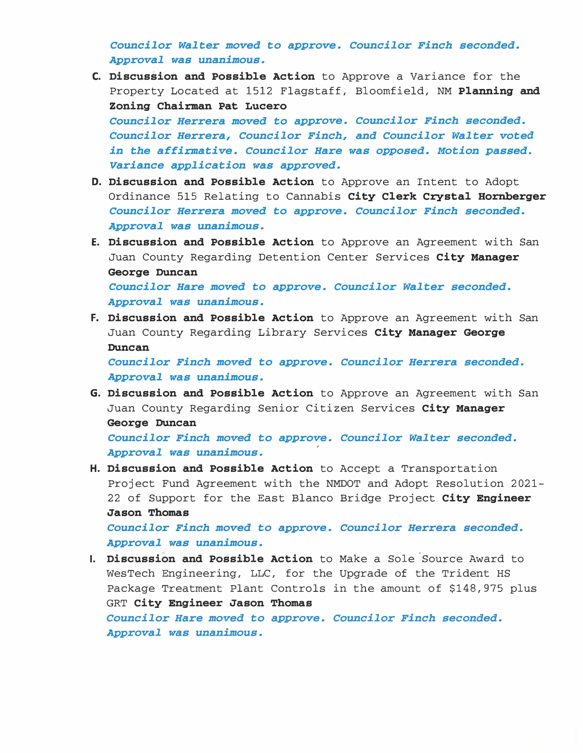Councilor Walter moved to approve. Councilor Finch seconded. Approval was unanimous.

- C. Discussion and Possible Action to Approve a variance for the Property Located at 1512 Flagstaff, Bloomfield, NM Planning and Zoning Chairman Pat Lucero Councilor Herrera moved to approve. Councilor Finch seconded. Councilor Herrera, Councilor Finch, and Councilor Walter voted in the affirmative. Councilor Hare was opposed. Motion passed. Variance application was approved.
- **D. Discussion and Possible Action** to Approve an Intent to Adopt Ordinance 515 Relating to Cannabis City Clerk Crystal Hornberger Councilor Herrera moved to approve. Councilor Finch seconded. Approval was unanimous.
- E. Discussion and Possible Action to Approve an Agreement with San Juan County Regarding Detention Center Services City Manager George Duncan Councilor Hare moved to approve. Councilor Walter seconded. Approval was unanimous.
- F. Discussion and Possible Action to Approve an Agreement with San Juan County Regarding Library Services City Manager George Duncan

Councilor Finch moved to approve. Councilor Herrera seconded. Approval was unanimous.

G. Discussion and Possible Action to Approve an Agreement with San Juan County Regarding Senior Citizen Services City Manager George Duncan

Councilor Finch moved to approve. Councilor Walter seconded. • Approval was unanimous.

H. Discussion and Possible Action to Accept a Transportation Project Fund Agreement with the NMDOT and Adopt Resolution 2021- 22 of Support for the East Blanco Bridge Project City Engineer Jason Thomas

Councilor Finch moved to approve. Councilor Herrera seconded. Approval was unanimous.

I. Discussion and Possible Action to Make a Sole Source Award to WesTech Engineering, LLC, for the Upgrade of the Trident HS Package Treatment Plant Controls in the amount of \$148,975 plus GRT City Engineer Jason Thomas Councilor Hare moved to approve. Councilor Finch seconded. Approval was unanimous.